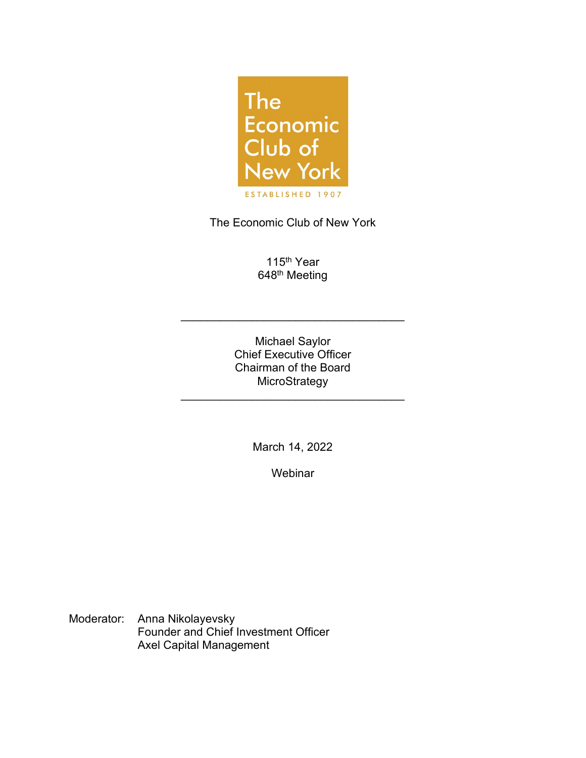

The Economic Club of New York

115<sup>th</sup> Year 648<sup>th</sup> Meeting

Michael Saylor Chief Executive Officer Chairman of the Board **MicroStrategy** 

\_\_\_\_\_\_\_\_\_\_\_\_\_\_\_\_\_\_\_\_\_\_\_\_\_\_\_\_\_\_\_\_\_\_\_

\_\_\_\_\_\_\_\_\_\_\_\_\_\_\_\_\_\_\_\_\_\_\_\_\_\_\_\_\_\_\_\_\_\_\_

March 14, 2022

**Webinar** 

Moderator: Anna Nikolayevsky Founder and Chief Investment Officer Axel Capital Management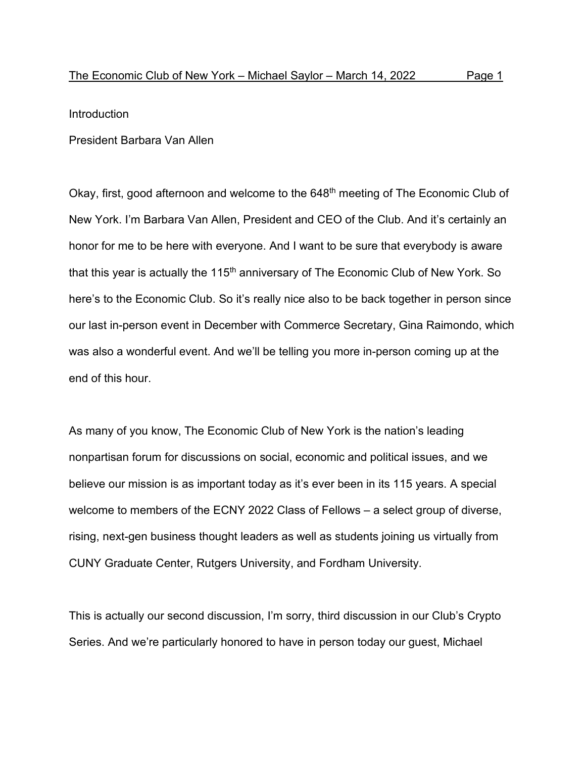Introduction

President Barbara Van Allen

Okay, first, good afternoon and welcome to the 648<sup>th</sup> meeting of The Economic Club of New York. I'm Barbara Van Allen, President and CEO of the Club. And it's certainly an honor for me to be here with everyone. And I want to be sure that everybody is aware that this year is actually the 115<sup>th</sup> anniversary of The Economic Club of New York. So here's to the Economic Club. So it's really nice also to be back together in person since our last in-person event in December with Commerce Secretary, Gina Raimondo, which was also a wonderful event. And we'll be telling you more in-person coming up at the end of this hour.

As many of you know, The Economic Club of New York is the nation's leading nonpartisan forum for discussions on social, economic and political issues, and we believe our mission is as important today as it's ever been in its 115 years. A special welcome to members of the ECNY 2022 Class of Fellows – a select group of diverse, rising, next-gen business thought leaders as well as students joining us virtually from CUNY Graduate Center, Rutgers University, and Fordham University.

This is actually our second discussion, I'm sorry, third discussion in our Club's Crypto Series. And we're particularly honored to have in person today our guest, Michael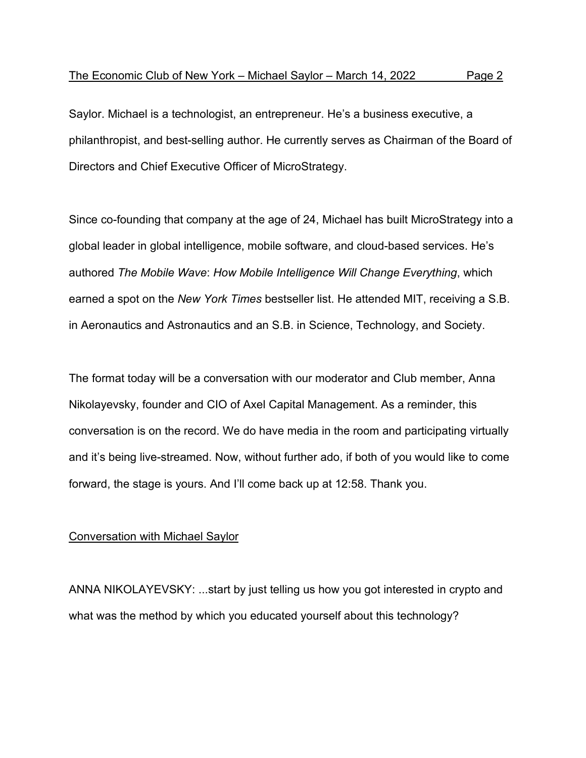Saylor. Michael is a technologist, an entrepreneur. He's a business executive, a philanthropist, and best-selling author. He currently serves as Chairman of the Board of Directors and Chief Executive Officer of MicroStrategy.

Since co-founding that company at the age of 24, Michael has built MicroStrategy into a global leader in global intelligence, mobile software, and cloud-based services. He's authored *The Mobile Wave*: *How Mobile Intelligence Will Change Everything*, which earned a spot on the *New York Times* bestseller list. He attended MIT, receiving a S.B. in Aeronautics and Astronautics and an S.B. in Science, Technology, and Society.

The format today will be a conversation with our moderator and Club member, Anna Nikolayevsky, founder and CIO of Axel Capital Management. As a reminder, this conversation is on the record. We do have media in the room and participating virtually and it's being live-streamed. Now, without further ado, if both of you would like to come forward, the stage is yours. And I'll come back up at 12:58. Thank you.

## Conversation with Michael Saylor

ANNA NIKOLAYEVSKY: ...start by just telling us how you got interested in crypto and what was the method by which you educated yourself about this technology?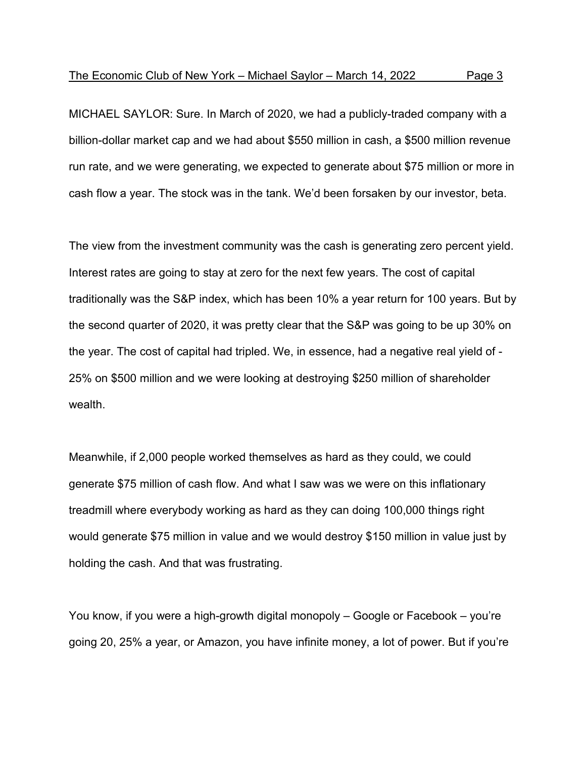MICHAEL SAYLOR: Sure. In March of 2020, we had a publicly-traded company with a billion-dollar market cap and we had about \$550 million in cash, a \$500 million revenue run rate, and we were generating, we expected to generate about \$75 million or more in cash flow a year. The stock was in the tank. We'd been forsaken by our investor, beta.

The view from the investment community was the cash is generating zero percent yield. Interest rates are going to stay at zero for the next few years. The cost of capital traditionally was the S&P index, which has been 10% a year return for 100 years. But by the second quarter of 2020, it was pretty clear that the S&P was going to be up 30% on the year. The cost of capital had tripled. We, in essence, had a negative real yield of - 25% on \$500 million and we were looking at destroying \$250 million of shareholder wealth.

Meanwhile, if 2,000 people worked themselves as hard as they could, we could generate \$75 million of cash flow. And what I saw was we were on this inflationary treadmill where everybody working as hard as they can doing 100,000 things right would generate \$75 million in value and we would destroy \$150 million in value just by holding the cash. And that was frustrating.

You know, if you were a high-growth digital monopoly – Google or Facebook – you're going 20, 25% a year, or Amazon, you have infinite money, a lot of power. But if you're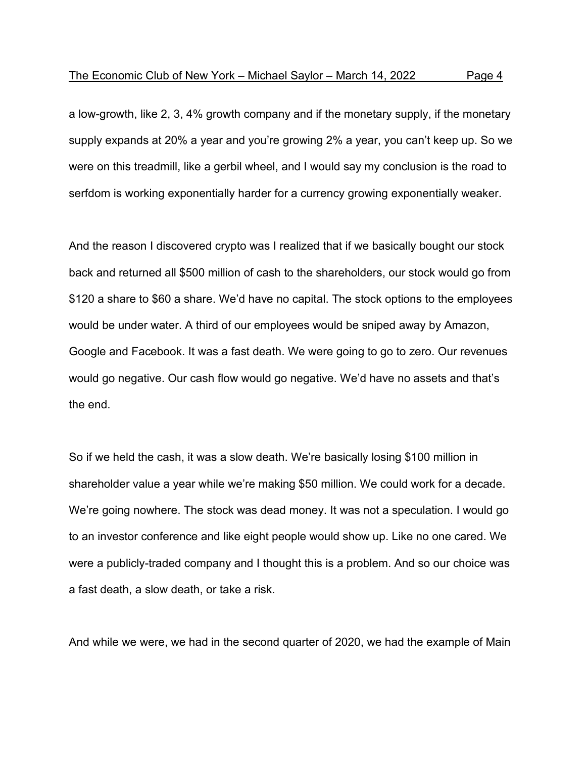a low-growth, like 2, 3, 4% growth company and if the monetary supply, if the monetary supply expands at 20% a year and you're growing 2% a year, you can't keep up. So we were on this treadmill, like a gerbil wheel, and I would say my conclusion is the road to serfdom is working exponentially harder for a currency growing exponentially weaker.

And the reason I discovered crypto was I realized that if we basically bought our stock back and returned all \$500 million of cash to the shareholders, our stock would go from \$120 a share to \$60 a share. We'd have no capital. The stock options to the employees would be under water. A third of our employees would be sniped away by Amazon, Google and Facebook. It was a fast death. We were going to go to zero. Our revenues would go negative. Our cash flow would go negative. We'd have no assets and that's the end.

So if we held the cash, it was a slow death. We're basically losing \$100 million in shareholder value a year while we're making \$50 million. We could work for a decade. We're going nowhere. The stock was dead money. It was not a speculation. I would go to an investor conference and like eight people would show up. Like no one cared. We were a publicly-traded company and I thought this is a problem. And so our choice was a fast death, a slow death, or take a risk.

And while we were, we had in the second quarter of 2020, we had the example of Main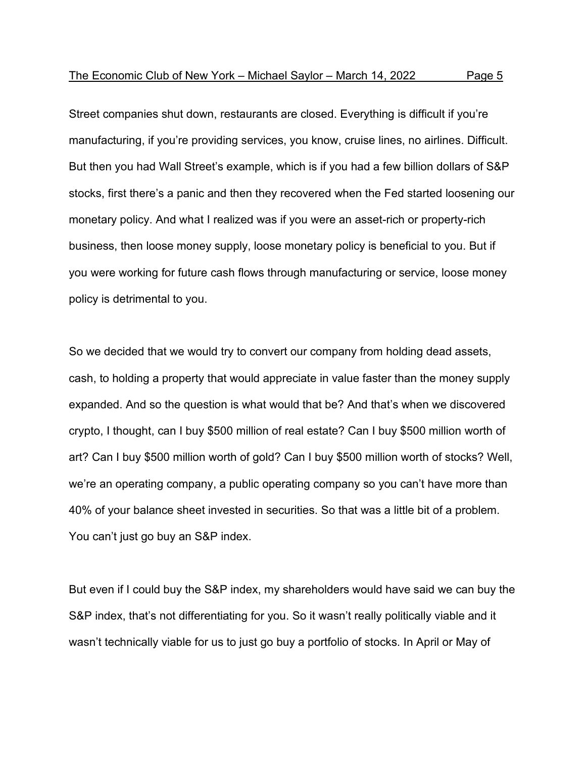Street companies shut down, restaurants are closed. Everything is difficult if you're manufacturing, if you're providing services, you know, cruise lines, no airlines. Difficult. But then you had Wall Street's example, which is if you had a few billion dollars of S&P stocks, first there's a panic and then they recovered when the Fed started loosening our monetary policy. And what I realized was if you were an asset-rich or property-rich business, then loose money supply, loose monetary policy is beneficial to you. But if you were working for future cash flows through manufacturing or service, loose money policy is detrimental to you.

So we decided that we would try to convert our company from holding dead assets, cash, to holding a property that would appreciate in value faster than the money supply expanded. And so the question is what would that be? And that's when we discovered crypto, I thought, can I buy \$500 million of real estate? Can I buy \$500 million worth of art? Can I buy \$500 million worth of gold? Can I buy \$500 million worth of stocks? Well, we're an operating company, a public operating company so you can't have more than 40% of your balance sheet invested in securities. So that was a little bit of a problem. You can't just go buy an S&P index.

But even if I could buy the S&P index, my shareholders would have said we can buy the S&P index, that's not differentiating for you. So it wasn't really politically viable and it wasn't technically viable for us to just go buy a portfolio of stocks. In April or May of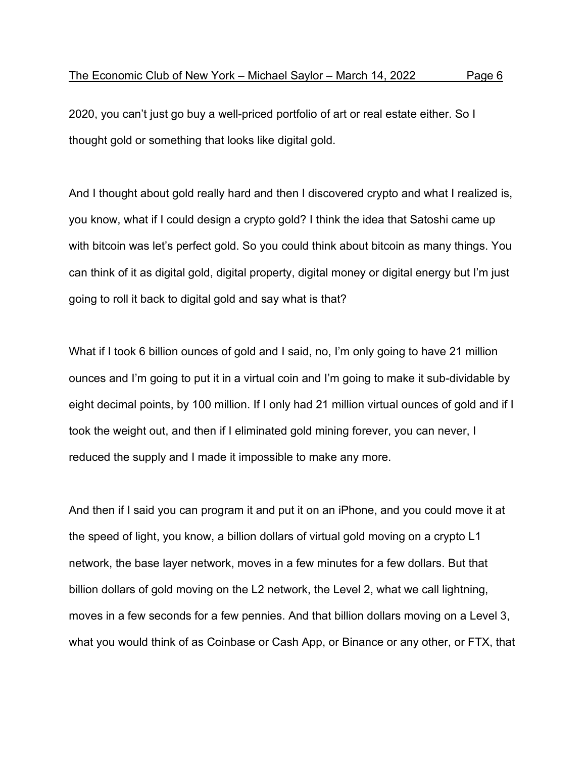2020, you can't just go buy a well-priced portfolio of art or real estate either. So I thought gold or something that looks like digital gold.

And I thought about gold really hard and then I discovered crypto and what I realized is, you know, what if I could design a crypto gold? I think the idea that Satoshi came up with bitcoin was let's perfect gold. So you could think about bitcoin as many things. You can think of it as digital gold, digital property, digital money or digital energy but I'm just going to roll it back to digital gold and say what is that?

What if I took 6 billion ounces of gold and I said, no, I'm only going to have 21 million ounces and I'm going to put it in a virtual coin and I'm going to make it sub-dividable by eight decimal points, by 100 million. If I only had 21 million virtual ounces of gold and if I took the weight out, and then if I eliminated gold mining forever, you can never, I reduced the supply and I made it impossible to make any more.

And then if I said you can program it and put it on an iPhone, and you could move it at the speed of light, you know, a billion dollars of virtual gold moving on a crypto L1 network, the base layer network, moves in a few minutes for a few dollars. But that billion dollars of gold moving on the L2 network, the Level 2, what we call lightning, moves in a few seconds for a few pennies. And that billion dollars moving on a Level 3, what you would think of as Coinbase or Cash App, or Binance or any other, or FTX, that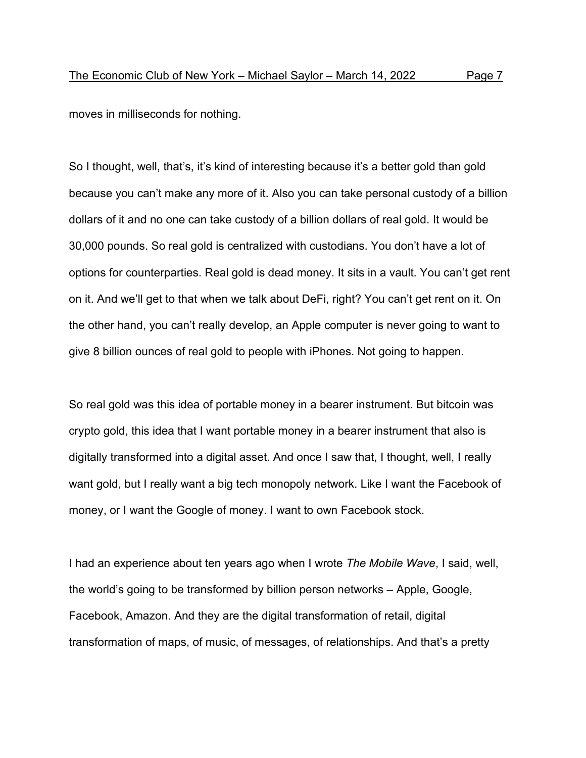moves in milliseconds for nothing.

So I thought, well, that's, it's kind of interesting because it's a better gold than gold because you can't make any more of it. Also you can take personal custody of a billion dollars of it and no one can take custody of a billion dollars of real gold. It would be 30,000 pounds. So real gold is centralized with custodians. You don't have a lot of options for counterparties. Real gold is dead money. It sits in a vault. You can't get rent on it. And we'll get to that when we talk about DeFi, right? You can't get rent on it. On the other hand, you can't really develop, an Apple computer is never going to want to give 8 billion ounces of real gold to people with iPhones. Not going to happen.

So real gold was this idea of portable money in a bearer instrument. But bitcoin was crypto gold, this idea that I want portable money in a bearer instrument that also is digitally transformed into a digital asset. And once I saw that, I thought, well, I really want gold, but I really want a big tech monopoly network. Like I want the Facebook of money, or I want the Google of money. I want to own Facebook stock.

I had an experience about ten years ago when I wrote *The Mobile Wave*, I said, well, the world's going to be transformed by billion person networks – Apple, Google, Facebook, Amazon. And they are the digital transformation of retail, digital transformation of maps, of music, of messages, of relationships. And that's a pretty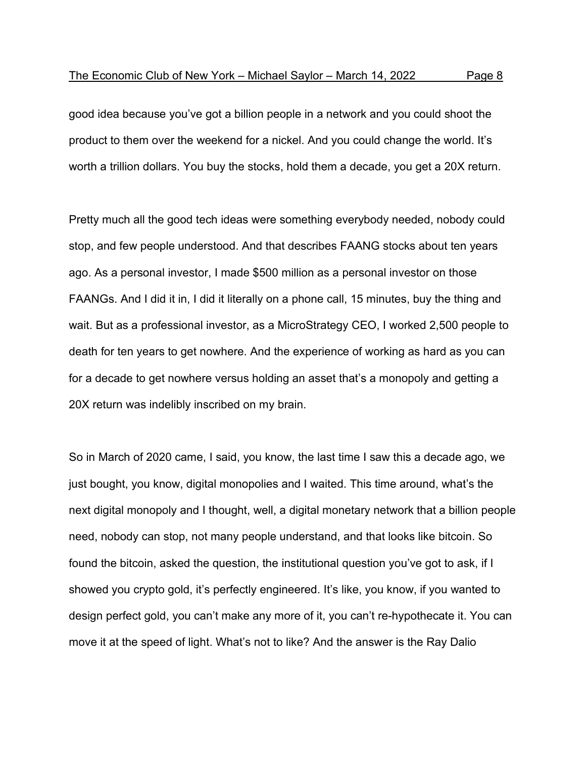good idea because you've got a billion people in a network and you could shoot the product to them over the weekend for a nickel. And you could change the world. It's worth a trillion dollars. You buy the stocks, hold them a decade, you get a 20X return.

Pretty much all the good tech ideas were something everybody needed, nobody could stop, and few people understood. And that describes FAANG stocks about ten years ago. As a personal investor, I made \$500 million as a personal investor on those FAANGs. And I did it in, I did it literally on a phone call, 15 minutes, buy the thing and wait. But as a professional investor, as a MicroStrategy CEO, I worked 2,500 people to death for ten years to get nowhere. And the experience of working as hard as you can for a decade to get nowhere versus holding an asset that's a monopoly and getting a 20X return was indelibly inscribed on my brain.

So in March of 2020 came, I said, you know, the last time I saw this a decade ago, we just bought, you know, digital monopolies and I waited. This time around, what's the next digital monopoly and I thought, well, a digital monetary network that a billion people need, nobody can stop, not many people understand, and that looks like bitcoin. So found the bitcoin, asked the question, the institutional question you've got to ask, if I showed you crypto gold, it's perfectly engineered. It's like, you know, if you wanted to design perfect gold, you can't make any more of it, you can't re-hypothecate it. You can move it at the speed of light. What's not to like? And the answer is the Ray Dalio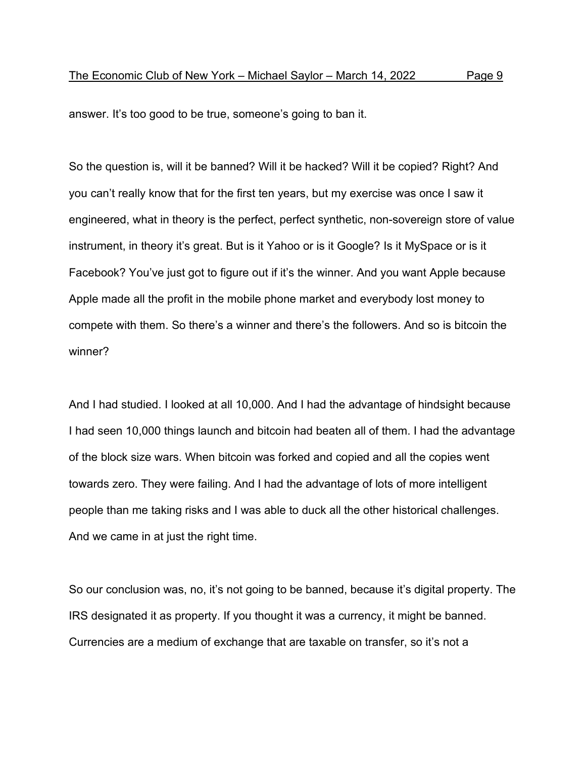answer. It's too good to be true, someone's going to ban it.

So the question is, will it be banned? Will it be hacked? Will it be copied? Right? And you can't really know that for the first ten years, but my exercise was once I saw it engineered, what in theory is the perfect, perfect synthetic, non-sovereign store of value instrument, in theory it's great. But is it Yahoo or is it Google? Is it MySpace or is it Facebook? You've just got to figure out if it's the winner. And you want Apple because Apple made all the profit in the mobile phone market and everybody lost money to compete with them. So there's a winner and there's the followers. And so is bitcoin the winner?

And I had studied. I looked at all 10,000. And I had the advantage of hindsight because I had seen 10,000 things launch and bitcoin had beaten all of them. I had the advantage of the block size wars. When bitcoin was forked and copied and all the copies went towards zero. They were failing. And I had the advantage of lots of more intelligent people than me taking risks and I was able to duck all the other historical challenges. And we came in at just the right time.

So our conclusion was, no, it's not going to be banned, because it's digital property. The IRS designated it as property. If you thought it was a currency, it might be banned. Currencies are a medium of exchange that are taxable on transfer, so it's not a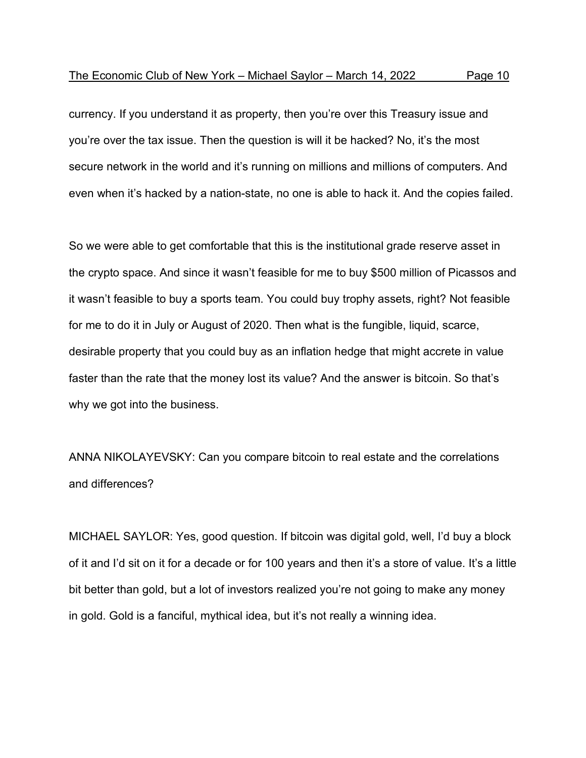currency. If you understand it as property, then you're over this Treasury issue and you're over the tax issue. Then the question is will it be hacked? No, it's the most secure network in the world and it's running on millions and millions of computers. And even when it's hacked by a nation-state, no one is able to hack it. And the copies failed.

So we were able to get comfortable that this is the institutional grade reserve asset in the crypto space. And since it wasn't feasible for me to buy \$500 million of Picassos and it wasn't feasible to buy a sports team. You could buy trophy assets, right? Not feasible for me to do it in July or August of 2020. Then what is the fungible, liquid, scarce, desirable property that you could buy as an inflation hedge that might accrete in value faster than the rate that the money lost its value? And the answer is bitcoin. So that's why we got into the business.

ANNA NIKOLAYEVSKY: Can you compare bitcoin to real estate and the correlations and differences?

MICHAEL SAYLOR: Yes, good question. If bitcoin was digital gold, well, I'd buy a block of it and I'd sit on it for a decade or for 100 years and then it's a store of value. It's a little bit better than gold, but a lot of investors realized you're not going to make any money in gold. Gold is a fanciful, mythical idea, but it's not really a winning idea.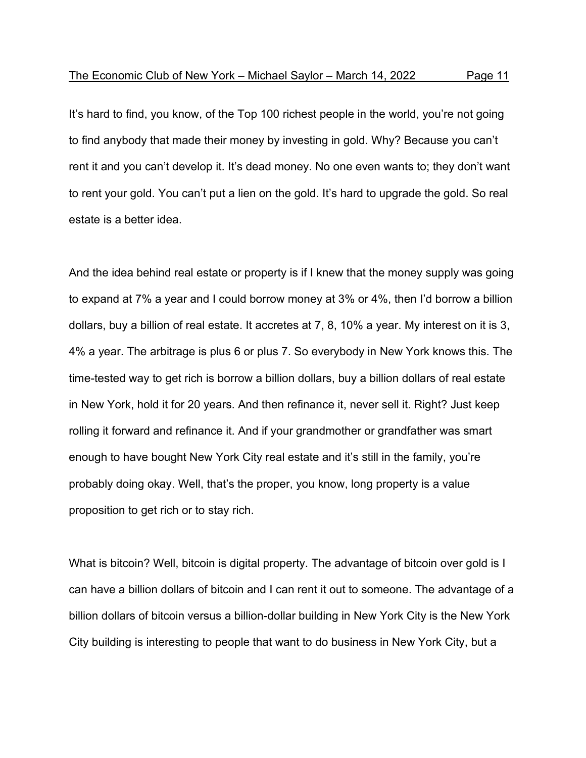It's hard to find, you know, of the Top 100 richest people in the world, you're not going to find anybody that made their money by investing in gold. Why? Because you can't rent it and you can't develop it. It's dead money. No one even wants to; they don't want to rent your gold. You can't put a lien on the gold. It's hard to upgrade the gold. So real estate is a better idea.

And the idea behind real estate or property is if I knew that the money supply was going to expand at 7% a year and I could borrow money at 3% or 4%, then I'd borrow a billion dollars, buy a billion of real estate. It accretes at 7, 8, 10% a year. My interest on it is 3, 4% a year. The arbitrage is plus 6 or plus 7. So everybody in New York knows this. The time-tested way to get rich is borrow a billion dollars, buy a billion dollars of real estate in New York, hold it for 20 years. And then refinance it, never sell it. Right? Just keep rolling it forward and refinance it. And if your grandmother or grandfather was smart enough to have bought New York City real estate and it's still in the family, you're probably doing okay. Well, that's the proper, you know, long property is a value proposition to get rich or to stay rich.

What is bitcoin? Well, bitcoin is digital property. The advantage of bitcoin over gold is I can have a billion dollars of bitcoin and I can rent it out to someone. The advantage of a billion dollars of bitcoin versus a billion-dollar building in New York City is the New York City building is interesting to people that want to do business in New York City, but a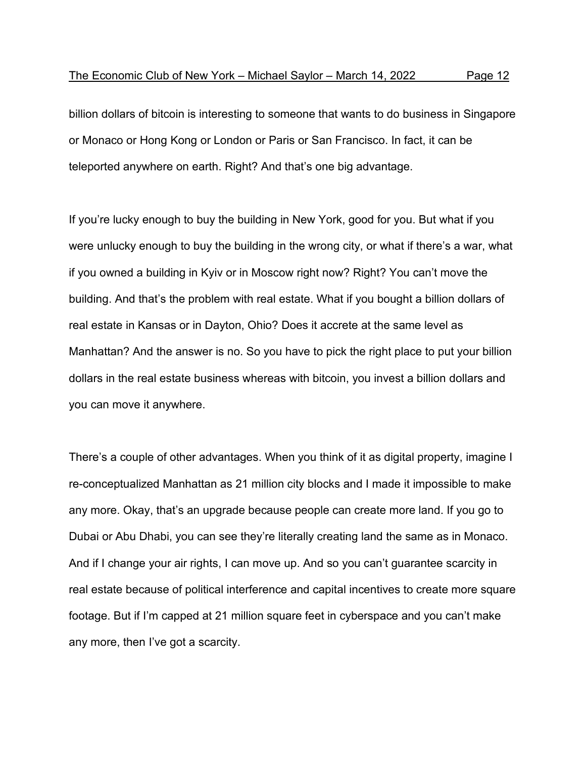billion dollars of bitcoin is interesting to someone that wants to do business in Singapore or Monaco or Hong Kong or London or Paris or San Francisco. In fact, it can be teleported anywhere on earth. Right? And that's one big advantage.

If you're lucky enough to buy the building in New York, good for you. But what if you were unlucky enough to buy the building in the wrong city, or what if there's a war, what if you owned a building in Kyiv or in Moscow right now? Right? You can't move the building. And that's the problem with real estate. What if you bought a billion dollars of real estate in Kansas or in Dayton, Ohio? Does it accrete at the same level as Manhattan? And the answer is no. So you have to pick the right place to put your billion dollars in the real estate business whereas with bitcoin, you invest a billion dollars and you can move it anywhere.

There's a couple of other advantages. When you think of it as digital property, imagine I re-conceptualized Manhattan as 21 million city blocks and I made it impossible to make any more. Okay, that's an upgrade because people can create more land. If you go to Dubai or Abu Dhabi, you can see they're literally creating land the same as in Monaco. And if I change your air rights, I can move up. And so you can't guarantee scarcity in real estate because of political interference and capital incentives to create more square footage. But if I'm capped at 21 million square feet in cyberspace and you can't make any more, then I've got a scarcity.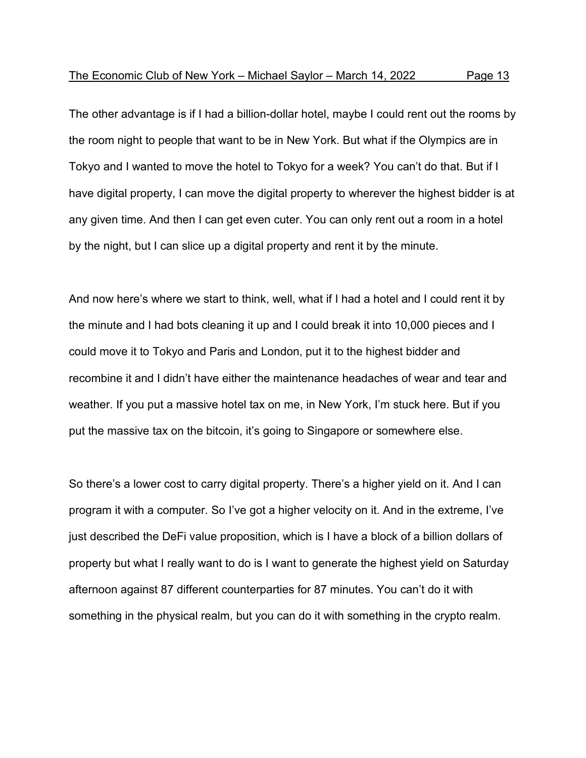The other advantage is if I had a billion-dollar hotel, maybe I could rent out the rooms by the room night to people that want to be in New York. But what if the Olympics are in Tokyo and I wanted to move the hotel to Tokyo for a week? You can't do that. But if I have digital property, I can move the digital property to wherever the highest bidder is at any given time. And then I can get even cuter. You can only rent out a room in a hotel by the night, but I can slice up a digital property and rent it by the minute.

And now here's where we start to think, well, what if I had a hotel and I could rent it by the minute and I had bots cleaning it up and I could break it into 10,000 pieces and I could move it to Tokyo and Paris and London, put it to the highest bidder and recombine it and I didn't have either the maintenance headaches of wear and tear and weather. If you put a massive hotel tax on me, in New York, I'm stuck here. But if you put the massive tax on the bitcoin, it's going to Singapore or somewhere else.

So there's a lower cost to carry digital property. There's a higher yield on it. And I can program it with a computer. So I've got a higher velocity on it. And in the extreme, I've just described the DeFi value proposition, which is I have a block of a billion dollars of property but what I really want to do is I want to generate the highest yield on Saturday afternoon against 87 different counterparties for 87 minutes. You can't do it with something in the physical realm, but you can do it with something in the crypto realm.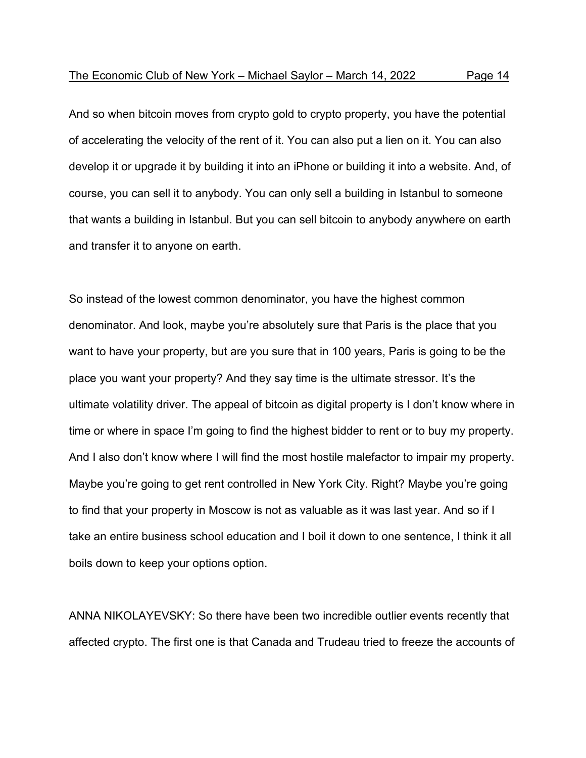And so when bitcoin moves from crypto gold to crypto property, you have the potential of accelerating the velocity of the rent of it. You can also put a lien on it. You can also develop it or upgrade it by building it into an iPhone or building it into a website. And, of course, you can sell it to anybody. You can only sell a building in Istanbul to someone that wants a building in Istanbul. But you can sell bitcoin to anybody anywhere on earth and transfer it to anyone on earth.

So instead of the lowest common denominator, you have the highest common denominator. And look, maybe you're absolutely sure that Paris is the place that you want to have your property, but are you sure that in 100 years, Paris is going to be the place you want your property? And they say time is the ultimate stressor. It's the ultimate volatility driver. The appeal of bitcoin as digital property is I don't know where in time or where in space I'm going to find the highest bidder to rent or to buy my property. And I also don't know where I will find the most hostile malefactor to impair my property. Maybe you're going to get rent controlled in New York City. Right? Maybe you're going to find that your property in Moscow is not as valuable as it was last year. And so if I take an entire business school education and I boil it down to one sentence, I think it all boils down to keep your options option.

ANNA NIKOLAYEVSKY: So there have been two incredible outlier events recently that affected crypto. The first one is that Canada and Trudeau tried to freeze the accounts of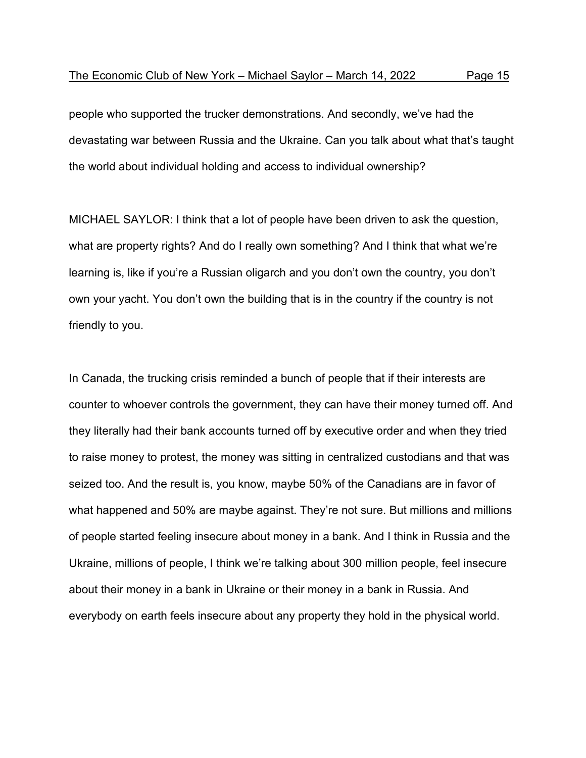people who supported the trucker demonstrations. And secondly, we've had the devastating war between Russia and the Ukraine. Can you talk about what that's taught the world about individual holding and access to individual ownership?

MICHAEL SAYLOR: I think that a lot of people have been driven to ask the question, what are property rights? And do I really own something? And I think that what we're learning is, like if you're a Russian oligarch and you don't own the country, you don't own your yacht. You don't own the building that is in the country if the country is not friendly to you.

In Canada, the trucking crisis reminded a bunch of people that if their interests are counter to whoever controls the government, they can have their money turned off. And they literally had their bank accounts turned off by executive order and when they tried to raise money to protest, the money was sitting in centralized custodians and that was seized too. And the result is, you know, maybe 50% of the Canadians are in favor of what happened and 50% are maybe against. They're not sure. But millions and millions of people started feeling insecure about money in a bank. And I think in Russia and the Ukraine, millions of people, I think we're talking about 300 million people, feel insecure about their money in a bank in Ukraine or their money in a bank in Russia. And everybody on earth feels insecure about any property they hold in the physical world.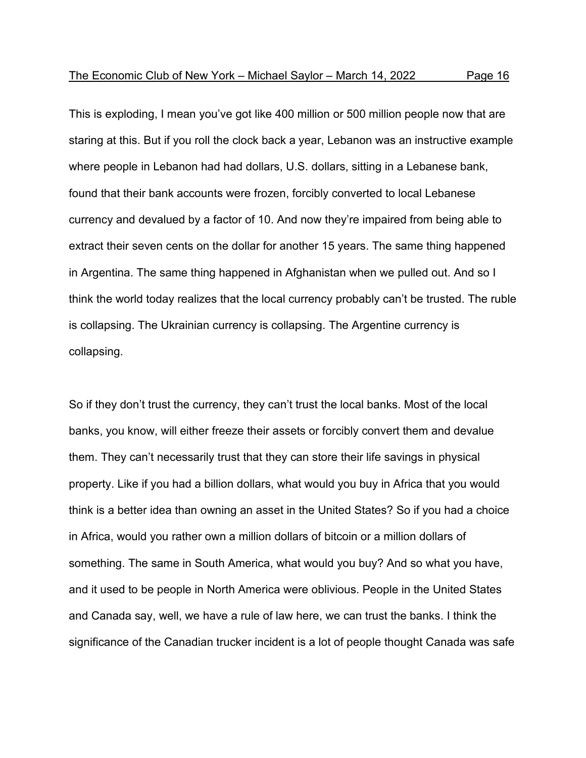This is exploding, I mean you've got like 400 million or 500 million people now that are staring at this. But if you roll the clock back a year, Lebanon was an instructive example where people in Lebanon had had dollars, U.S. dollars, sitting in a Lebanese bank, found that their bank accounts were frozen, forcibly converted to local Lebanese currency and devalued by a factor of 10. And now they're impaired from being able to extract their seven cents on the dollar for another 15 years. The same thing happened in Argentina. The same thing happened in Afghanistan when we pulled out. And so I think the world today realizes that the local currency probably can't be trusted. The ruble is collapsing. The Ukrainian currency is collapsing. The Argentine currency is collapsing.

So if they don't trust the currency, they can't trust the local banks. Most of the local banks, you know, will either freeze their assets or forcibly convert them and devalue them. They can't necessarily trust that they can store their life savings in physical property. Like if you had a billion dollars, what would you buy in Africa that you would think is a better idea than owning an asset in the United States? So if you had a choice in Africa, would you rather own a million dollars of bitcoin or a million dollars of something. The same in South America, what would you buy? And so what you have, and it used to be people in North America were oblivious. People in the United States and Canada say, well, we have a rule of law here, we can trust the banks. I think the significance of the Canadian trucker incident is a lot of people thought Canada was safe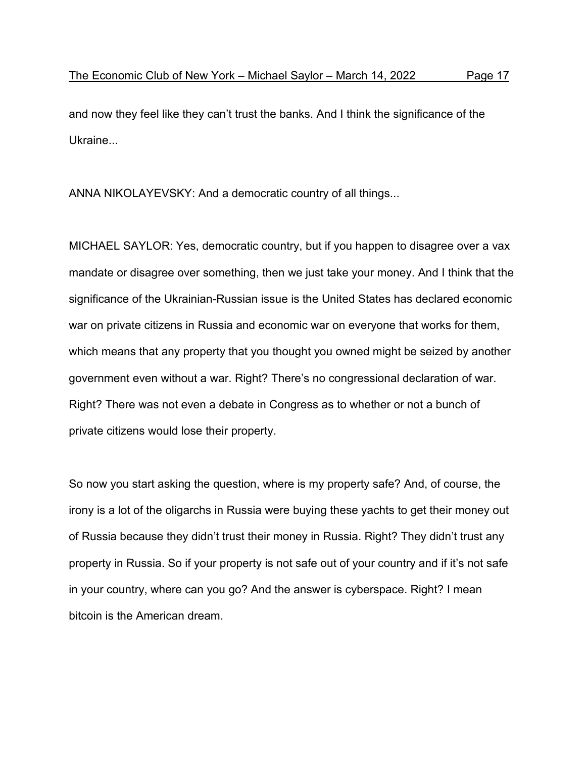and now they feel like they can't trust the banks. And I think the significance of the Ukraine...

ANNA NIKOLAYEVSKY: And a democratic country of all things...

MICHAEL SAYLOR: Yes, democratic country, but if you happen to disagree over a vax mandate or disagree over something, then we just take your money. And I think that the significance of the Ukrainian-Russian issue is the United States has declared economic war on private citizens in Russia and economic war on everyone that works for them, which means that any property that you thought you owned might be seized by another government even without a war. Right? There's no congressional declaration of war. Right? There was not even a debate in Congress as to whether or not a bunch of private citizens would lose their property.

So now you start asking the question, where is my property safe? And, of course, the irony is a lot of the oligarchs in Russia were buying these yachts to get their money out of Russia because they didn't trust their money in Russia. Right? They didn't trust any property in Russia. So if your property is not safe out of your country and if it's not safe in your country, where can you go? And the answer is cyberspace. Right? I mean bitcoin is the American dream.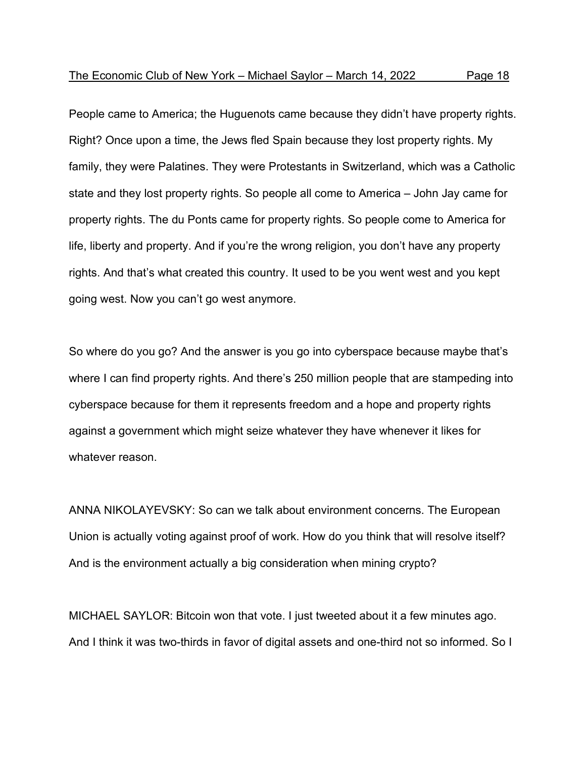People came to America; the Huguenots came because they didn't have property rights. Right? Once upon a time, the Jews fled Spain because they lost property rights. My family, they were Palatines. They were Protestants in Switzerland, which was a Catholic state and they lost property rights. So people all come to America – John Jay came for property rights. The du Ponts came for property rights. So people come to America for life, liberty and property. And if you're the wrong religion, you don't have any property rights. And that's what created this country. It used to be you went west and you kept going west. Now you can't go west anymore.

So where do you go? And the answer is you go into cyberspace because maybe that's where I can find property rights. And there's 250 million people that are stampeding into cyberspace because for them it represents freedom and a hope and property rights against a government which might seize whatever they have whenever it likes for whatever reason.

ANNA NIKOLAYEVSKY: So can we talk about environment concerns. The European Union is actually voting against proof of work. How do you think that will resolve itself? And is the environment actually a big consideration when mining crypto?

MICHAEL SAYLOR: Bitcoin won that vote. I just tweeted about it a few minutes ago. And I think it was two-thirds in favor of digital assets and one-third not so informed. So I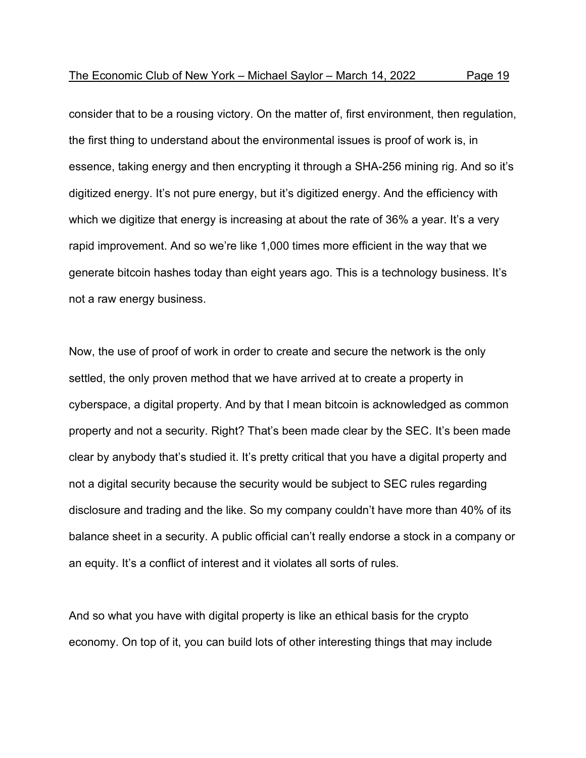consider that to be a rousing victory. On the matter of, first environment, then regulation, the first thing to understand about the environmental issues is proof of work is, in essence, taking energy and then encrypting it through a SHA-256 mining rig. And so it's digitized energy. It's not pure energy, but it's digitized energy. And the efficiency with which we digitize that energy is increasing at about the rate of 36% a year. It's a very rapid improvement. And so we're like 1,000 times more efficient in the way that we generate bitcoin hashes today than eight years ago. This is a technology business. It's not a raw energy business.

Now, the use of proof of work in order to create and secure the network is the only settled, the only proven method that we have arrived at to create a property in cyberspace, a digital property. And by that I mean bitcoin is acknowledged as common property and not a security. Right? That's been made clear by the SEC. It's been made clear by anybody that's studied it. It's pretty critical that you have a digital property and not a digital security because the security would be subject to SEC rules regarding disclosure and trading and the like. So my company couldn't have more than 40% of its balance sheet in a security. A public official can't really endorse a stock in a company or an equity. It's a conflict of interest and it violates all sorts of rules.

And so what you have with digital property is like an ethical basis for the crypto economy. On top of it, you can build lots of other interesting things that may include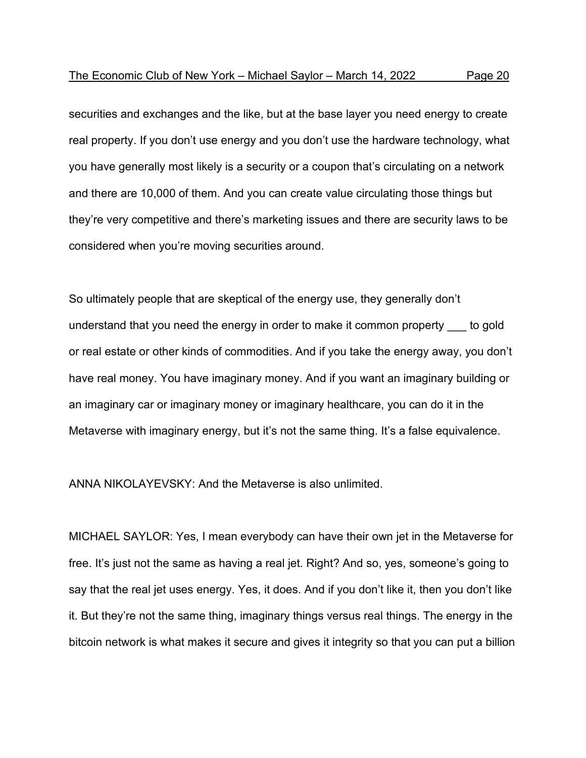securities and exchanges and the like, but at the base layer you need energy to create real property. If you don't use energy and you don't use the hardware technology, what you have generally most likely is a security or a coupon that's circulating on a network and there are 10,000 of them. And you can create value circulating those things but they're very competitive and there's marketing issues and there are security laws to be considered when you're moving securities around.

So ultimately people that are skeptical of the energy use, they generally don't understand that you need the energy in order to make it common property \_\_\_ to gold or real estate or other kinds of commodities. And if you take the energy away, you don't have real money. You have imaginary money. And if you want an imaginary building or an imaginary car or imaginary money or imaginary healthcare, you can do it in the Metaverse with imaginary energy, but it's not the same thing. It's a false equivalence.

ANNA NIKOLAYEVSKY: And the Metaverse is also unlimited.

MICHAEL SAYLOR: Yes, I mean everybody can have their own jet in the Metaverse for free. It's just not the same as having a real jet. Right? And so, yes, someone's going to say that the real jet uses energy. Yes, it does. And if you don't like it, then you don't like it. But they're not the same thing, imaginary things versus real things. The energy in the bitcoin network is what makes it secure and gives it integrity so that you can put a billion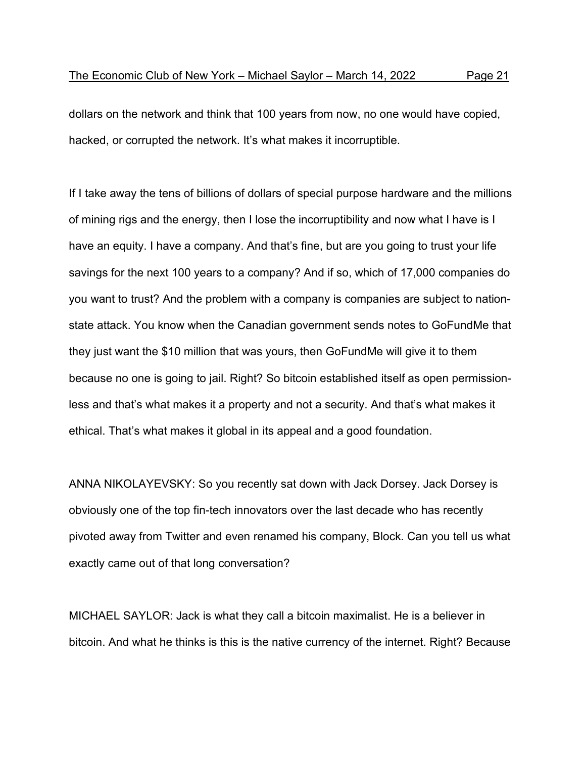dollars on the network and think that 100 years from now, no one would have copied, hacked, or corrupted the network. It's what makes it incorruptible.

If I take away the tens of billions of dollars of special purpose hardware and the millions of mining rigs and the energy, then I lose the incorruptibility and now what I have is I have an equity. I have a company. And that's fine, but are you going to trust your life savings for the next 100 years to a company? And if so, which of 17,000 companies do you want to trust? And the problem with a company is companies are subject to nationstate attack. You know when the Canadian government sends notes to GoFundMe that they just want the \$10 million that was yours, then GoFundMe will give it to them because no one is going to jail. Right? So bitcoin established itself as open permissionless and that's what makes it a property and not a security. And that's what makes it ethical. That's what makes it global in its appeal and a good foundation.

ANNA NIKOLAYEVSKY: So you recently sat down with Jack Dorsey. Jack Dorsey is obviously one of the top fin-tech innovators over the last decade who has recently pivoted away from Twitter and even renamed his company, Block. Can you tell us what exactly came out of that long conversation?

MICHAEL SAYLOR: Jack is what they call a bitcoin maximalist. He is a believer in bitcoin. And what he thinks is this is the native currency of the internet. Right? Because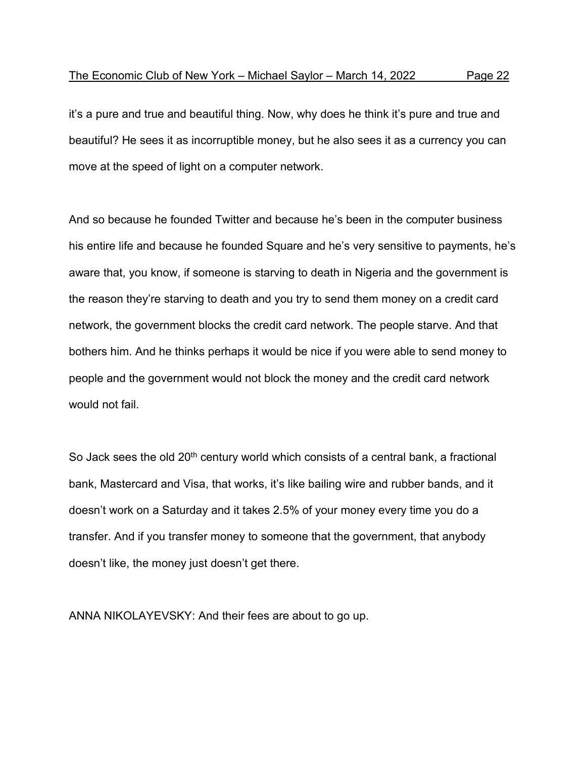it's a pure and true and beautiful thing. Now, why does he think it's pure and true and beautiful? He sees it as incorruptible money, but he also sees it as a currency you can move at the speed of light on a computer network.

And so because he founded Twitter and because he's been in the computer business his entire life and because he founded Square and he's very sensitive to payments, he's aware that, you know, if someone is starving to death in Nigeria and the government is the reason they're starving to death and you try to send them money on a credit card network, the government blocks the credit card network. The people starve. And that bothers him. And he thinks perhaps it would be nice if you were able to send money to people and the government would not block the money and the credit card network would not fail.

So Jack sees the old 20<sup>th</sup> century world which consists of a central bank, a fractional bank, Mastercard and Visa, that works, it's like bailing wire and rubber bands, and it doesn't work on a Saturday and it takes 2.5% of your money every time you do a transfer. And if you transfer money to someone that the government, that anybody doesn't like, the money just doesn't get there.

ANNA NIKOLAYEVSKY: And their fees are about to go up.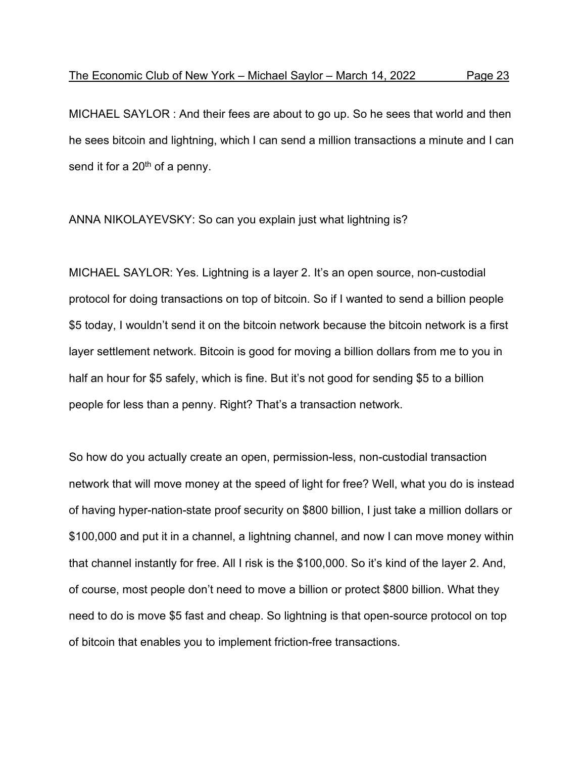MICHAEL SAYLOR : And their fees are about to go up. So he sees that world and then he sees bitcoin and lightning, which I can send a million transactions a minute and I can send it for a  $20<sup>th</sup>$  of a penny.

ANNA NIKOLAYEVSKY: So can you explain just what lightning is?

MICHAEL SAYLOR: Yes. Lightning is a layer 2. It's an open source, non-custodial protocol for doing transactions on top of bitcoin. So if I wanted to send a billion people \$5 today, I wouldn't send it on the bitcoin network because the bitcoin network is a first layer settlement network. Bitcoin is good for moving a billion dollars from me to you in half an hour for \$5 safely, which is fine. But it's not good for sending \$5 to a billion people for less than a penny. Right? That's a transaction network.

So how do you actually create an open, permission-less, non-custodial transaction network that will move money at the speed of light for free? Well, what you do is instead of having hyper-nation-state proof security on \$800 billion, I just take a million dollars or \$100,000 and put it in a channel, a lightning channel, and now I can move money within that channel instantly for free. All I risk is the \$100,000. So it's kind of the layer 2. And, of course, most people don't need to move a billion or protect \$800 billion. What they need to do is move \$5 fast and cheap. So lightning is that open-source protocol on top of bitcoin that enables you to implement friction-free transactions.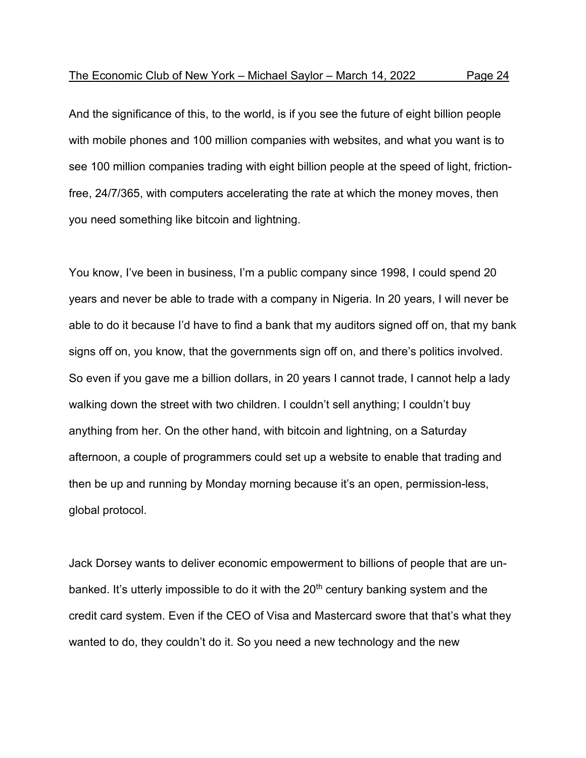And the significance of this, to the world, is if you see the future of eight billion people with mobile phones and 100 million companies with websites, and what you want is to see 100 million companies trading with eight billion people at the speed of light, frictionfree, 24/7/365, with computers accelerating the rate at which the money moves, then you need something like bitcoin and lightning.

You know, I've been in business, I'm a public company since 1998, I could spend 20 years and never be able to trade with a company in Nigeria. In 20 years, I will never be able to do it because I'd have to find a bank that my auditors signed off on, that my bank signs off on, you know, that the governments sign off on, and there's politics involved. So even if you gave me a billion dollars, in 20 years I cannot trade, I cannot help a lady walking down the street with two children. I couldn't sell anything; I couldn't buy anything from her. On the other hand, with bitcoin and lightning, on a Saturday afternoon, a couple of programmers could set up a website to enable that trading and then be up and running by Monday morning because it's an open, permission-less, global protocol.

Jack Dorsey wants to deliver economic empowerment to billions of people that are unbanked. It's utterly impossible to do it with the 20<sup>th</sup> century banking system and the credit card system. Even if the CEO of Visa and Mastercard swore that that's what they wanted to do, they couldn't do it. So you need a new technology and the new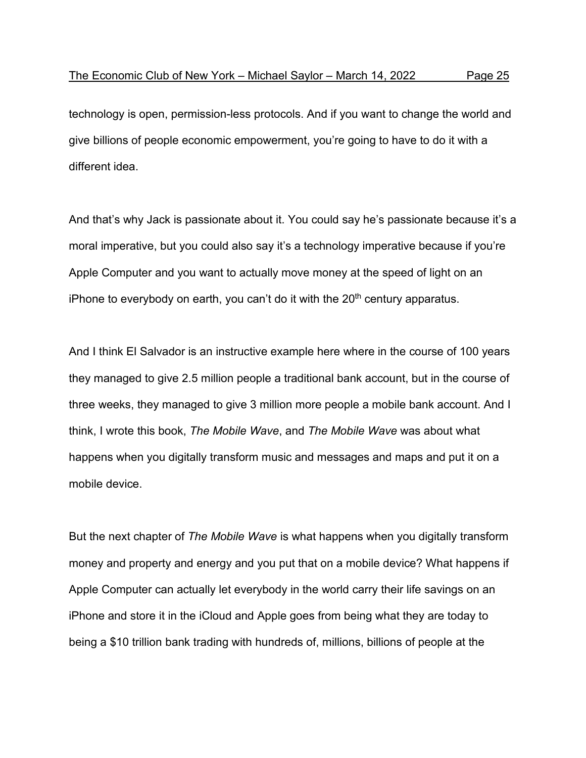technology is open, permission-less protocols. And if you want to change the world and give billions of people economic empowerment, you're going to have to do it with a different idea.

And that's why Jack is passionate about it. You could say he's passionate because it's a moral imperative, but you could also say it's a technology imperative because if you're Apple Computer and you want to actually move money at the speed of light on an iPhone to everybody on earth, you can't do it with the  $20<sup>th</sup>$  century apparatus.

And I think El Salvador is an instructive example here where in the course of 100 years they managed to give 2.5 million people a traditional bank account, but in the course of three weeks, they managed to give 3 million more people a mobile bank account. And I think, I wrote this book, *The Mobile Wave*, and *The Mobile Wave* was about what happens when you digitally transform music and messages and maps and put it on a mobile device.

But the next chapter of *The Mobile Wave* is what happens when you digitally transform money and property and energy and you put that on a mobile device? What happens if Apple Computer can actually let everybody in the world carry their life savings on an iPhone and store it in the iCloud and Apple goes from being what they are today to being a \$10 trillion bank trading with hundreds of, millions, billions of people at the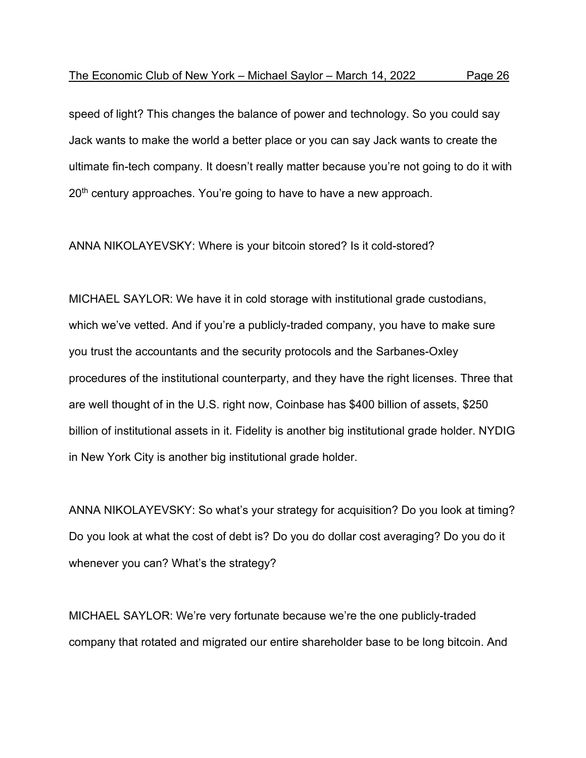speed of light? This changes the balance of power and technology. So you could say Jack wants to make the world a better place or you can say Jack wants to create the ultimate fin-tech company. It doesn't really matter because you're not going to do it with 20<sup>th</sup> century approaches. You're going to have to have a new approach.

ANNA NIKOLAYEVSKY: Where is your bitcoin stored? Is it cold-stored?

MICHAEL SAYLOR: We have it in cold storage with institutional grade custodians, which we've vetted. And if you're a publicly-traded company, you have to make sure you trust the accountants and the security protocols and the Sarbanes-Oxley procedures of the institutional counterparty, and they have the right licenses. Three that are well thought of in the U.S. right now, Coinbase has \$400 billion of assets, \$250 billion of institutional assets in it. Fidelity is another big institutional grade holder. NYDIG in New York City is another big institutional grade holder.

ANNA NIKOLAYEVSKY: So what's your strategy for acquisition? Do you look at timing? Do you look at what the cost of debt is? Do you do dollar cost averaging? Do you do it whenever you can? What's the strategy?

MICHAEL SAYLOR: We're very fortunate because we're the one publicly-traded company that rotated and migrated our entire shareholder base to be long bitcoin. And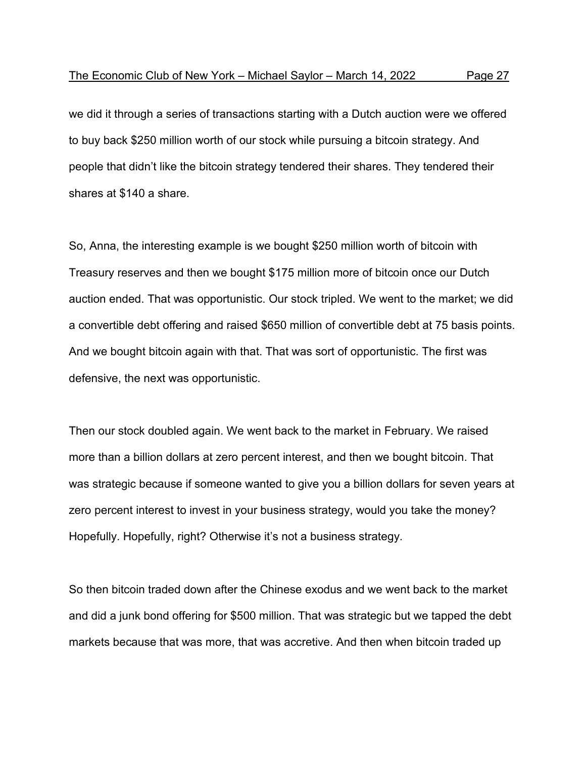we did it through a series of transactions starting with a Dutch auction were we offered to buy back \$250 million worth of our stock while pursuing a bitcoin strategy. And people that didn't like the bitcoin strategy tendered their shares. They tendered their shares at \$140 a share.

So, Anna, the interesting example is we bought \$250 million worth of bitcoin with Treasury reserves and then we bought \$175 million more of bitcoin once our Dutch auction ended. That was opportunistic. Our stock tripled. We went to the market; we did a convertible debt offering and raised \$650 million of convertible debt at 75 basis points. And we bought bitcoin again with that. That was sort of opportunistic. The first was defensive, the next was opportunistic.

Then our stock doubled again. We went back to the market in February. We raised more than a billion dollars at zero percent interest, and then we bought bitcoin. That was strategic because if someone wanted to give you a billion dollars for seven years at zero percent interest to invest in your business strategy, would you take the money? Hopefully. Hopefully, right? Otherwise it's not a business strategy.

So then bitcoin traded down after the Chinese exodus and we went back to the market and did a junk bond offering for \$500 million. That was strategic but we tapped the debt markets because that was more, that was accretive. And then when bitcoin traded up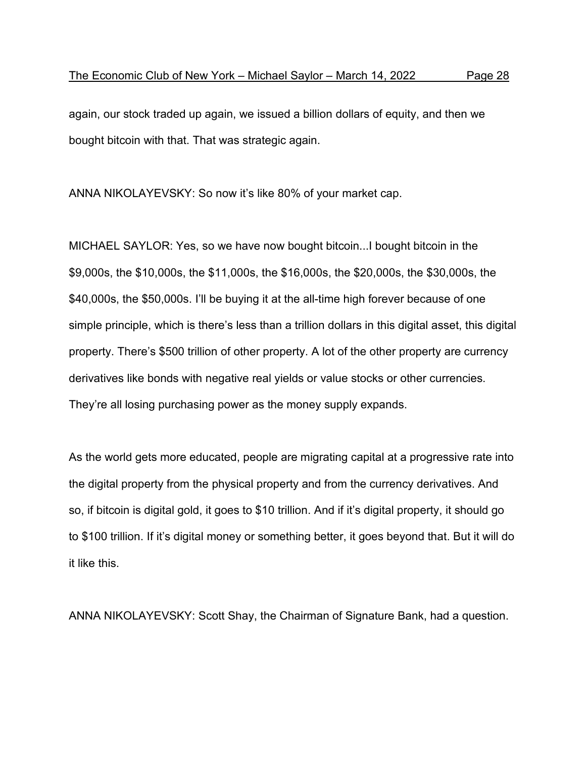again, our stock traded up again, we issued a billion dollars of equity, and then we bought bitcoin with that. That was strategic again.

ANNA NIKOLAYEVSKY: So now it's like 80% of your market cap.

MICHAEL SAYLOR: Yes, so we have now bought bitcoin...I bought bitcoin in the \$9,000s, the \$10,000s, the \$11,000s, the \$16,000s, the \$20,000s, the \$30,000s, the \$40,000s, the \$50,000s. I'll be buying it at the all-time high forever because of one simple principle, which is there's less than a trillion dollars in this digital asset, this digital property. There's \$500 trillion of other property. A lot of the other property are currency derivatives like bonds with negative real yields or value stocks or other currencies. They're all losing purchasing power as the money supply expands.

As the world gets more educated, people are migrating capital at a progressive rate into the digital property from the physical property and from the currency derivatives. And so, if bitcoin is digital gold, it goes to \$10 trillion. And if it's digital property, it should go to \$100 trillion. If it's digital money or something better, it goes beyond that. But it will do it like this.

ANNA NIKOLAYEVSKY: Scott Shay, the Chairman of Signature Bank, had a question.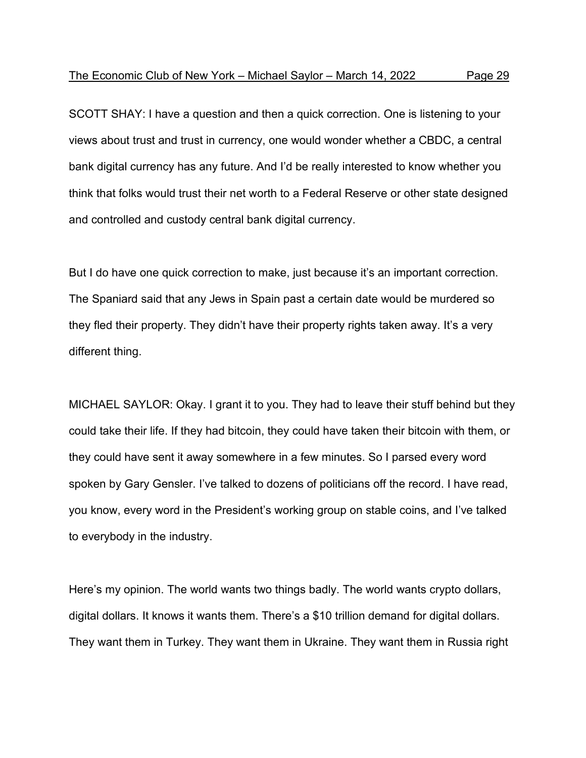SCOTT SHAY: I have a question and then a quick correction. One is listening to your views about trust and trust in currency, one would wonder whether a CBDC, a central bank digital currency has any future. And I'd be really interested to know whether you think that folks would trust their net worth to a Federal Reserve or other state designed and controlled and custody central bank digital currency.

But I do have one quick correction to make, just because it's an important correction. The Spaniard said that any Jews in Spain past a certain date would be murdered so they fled their property. They didn't have their property rights taken away. It's a very different thing.

MICHAEL SAYLOR: Okay. I grant it to you. They had to leave their stuff behind but they could take their life. If they had bitcoin, they could have taken their bitcoin with them, or they could have sent it away somewhere in a few minutes. So I parsed every word spoken by Gary Gensler. I've talked to dozens of politicians off the record. I have read, you know, every word in the President's working group on stable coins, and I've talked to everybody in the industry.

Here's my opinion. The world wants two things badly. The world wants crypto dollars, digital dollars. It knows it wants them. There's a \$10 trillion demand for digital dollars. They want them in Turkey. They want them in Ukraine. They want them in Russia right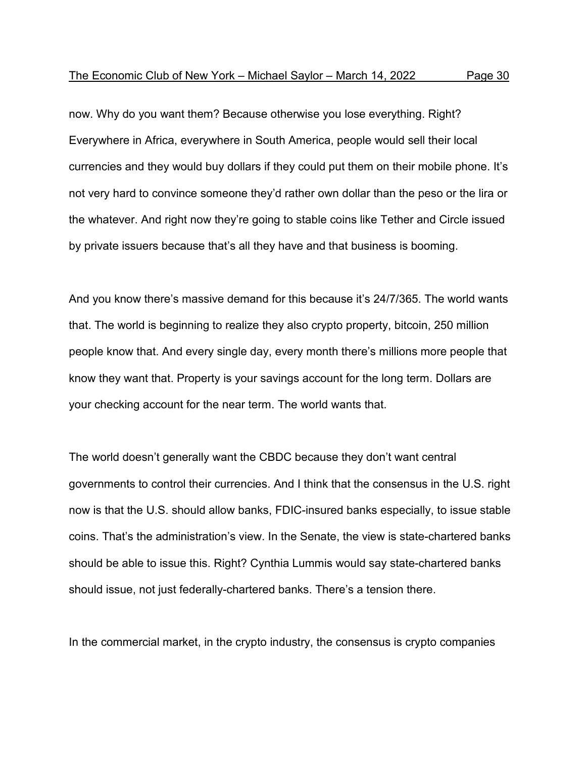now. Why do you want them? Because otherwise you lose everything. Right? Everywhere in Africa, everywhere in South America, people would sell their local currencies and they would buy dollars if they could put them on their mobile phone. It's not very hard to convince someone they'd rather own dollar than the peso or the lira or the whatever. And right now they're going to stable coins like Tether and Circle issued by private issuers because that's all they have and that business is booming.

And you know there's massive demand for this because it's 24/7/365. The world wants that. The world is beginning to realize they also crypto property, bitcoin, 250 million people know that. And every single day, every month there's millions more people that know they want that. Property is your savings account for the long term. Dollars are your checking account for the near term. The world wants that.

The world doesn't generally want the CBDC because they don't want central governments to control their currencies. And I think that the consensus in the U.S. right now is that the U.S. should allow banks, FDIC-insured banks especially, to issue stable coins. That's the administration's view. In the Senate, the view is state-chartered banks should be able to issue this. Right? Cynthia Lummis would say state-chartered banks should issue, not just federally-chartered banks. There's a tension there.

In the commercial market, in the crypto industry, the consensus is crypto companies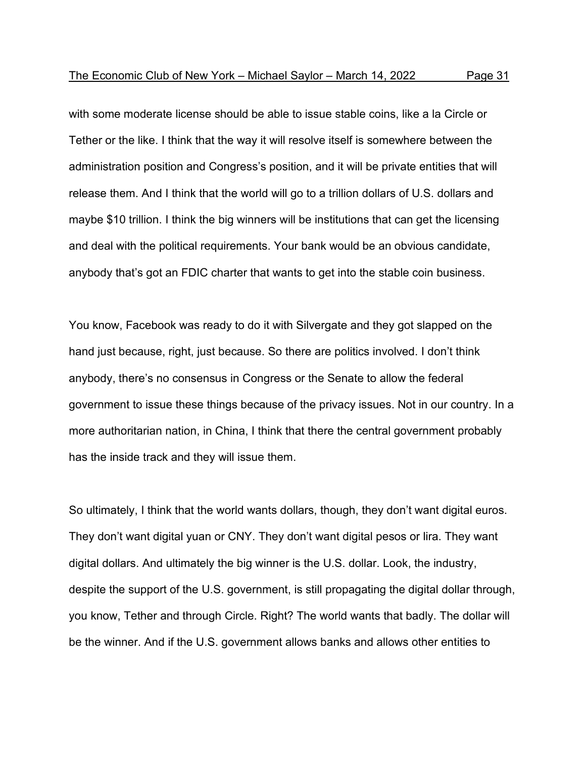with some moderate license should be able to issue stable coins, like a la Circle or Tether or the like. I think that the way it will resolve itself is somewhere between the administration position and Congress's position, and it will be private entities that will release them. And I think that the world will go to a trillion dollars of U.S. dollars and maybe \$10 trillion. I think the big winners will be institutions that can get the licensing and deal with the political requirements. Your bank would be an obvious candidate, anybody that's got an FDIC charter that wants to get into the stable coin business.

You know, Facebook was ready to do it with Silvergate and they got slapped on the hand just because, right, just because. So there are politics involved. I don't think anybody, there's no consensus in Congress or the Senate to allow the federal government to issue these things because of the privacy issues. Not in our country. In a more authoritarian nation, in China, I think that there the central government probably has the inside track and they will issue them.

So ultimately, I think that the world wants dollars, though, they don't want digital euros. They don't want digital yuan or CNY. They don't want digital pesos or lira. They want digital dollars. And ultimately the big winner is the U.S. dollar. Look, the industry, despite the support of the U.S. government, is still propagating the digital dollar through, you know, Tether and through Circle. Right? The world wants that badly. The dollar will be the winner. And if the U.S. government allows banks and allows other entities to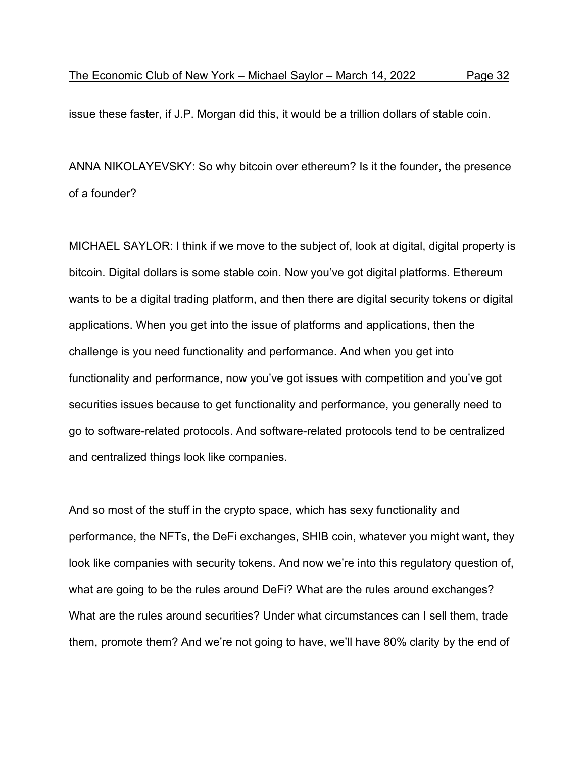issue these faster, if J.P. Morgan did this, it would be a trillion dollars of stable coin.

ANNA NIKOLAYEVSKY: So why bitcoin over ethereum? Is it the founder, the presence of a founder?

MICHAEL SAYLOR: I think if we move to the subject of, look at digital, digital property is bitcoin. Digital dollars is some stable coin. Now you've got digital platforms. Ethereum wants to be a digital trading platform, and then there are digital security tokens or digital applications. When you get into the issue of platforms and applications, then the challenge is you need functionality and performance. And when you get into functionality and performance, now you've got issues with competition and you've got securities issues because to get functionality and performance, you generally need to go to software-related protocols. And software-related protocols tend to be centralized and centralized things look like companies.

And so most of the stuff in the crypto space, which has sexy functionality and performance, the NFTs, the DeFi exchanges, SHIB coin, whatever you might want, they look like companies with security tokens. And now we're into this regulatory question of, what are going to be the rules around DeFi? What are the rules around exchanges? What are the rules around securities? Under what circumstances can I sell them, trade them, promote them? And we're not going to have, we'll have 80% clarity by the end of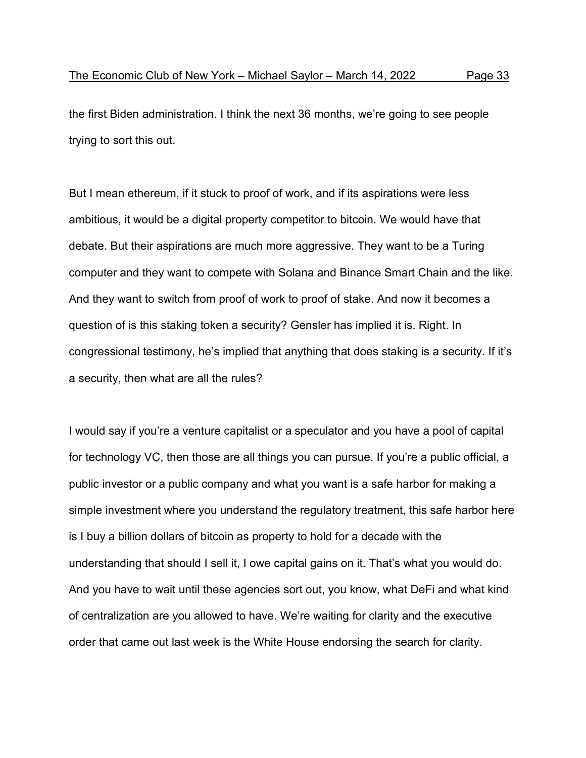the first Biden administration. I think the next 36 months, we're going to see people trying to sort this out.

But I mean ethereum, if it stuck to proof of work, and if its aspirations were less ambitious, it would be a digital property competitor to bitcoin. We would have that debate. But their aspirations are much more aggressive. They want to be a Turing computer and they want to compete with Solana and Binance Smart Chain and the like. And they want to switch from proof of work to proof of stake. And now it becomes a question of is this staking token a security? Gensler has implied it is. Right. In congressional testimony, he's implied that anything that does staking is a security. If it's a security, then what are all the rules?

I would say if you're a venture capitalist or a speculator and you have a pool of capital for technology VC, then those are all things you can pursue. If you're a public official, a public investor or a public company and what you want is a safe harbor for making a simple investment where you understand the regulatory treatment, this safe harbor here is I buy a billion dollars of bitcoin as property to hold for a decade with the understanding that should I sell it, I owe capital gains on it. That's what you would do. And you have to wait until these agencies sort out, you know, what DeFi and what kind of centralization are you allowed to have. We're waiting for clarity and the executive order that came out last week is the White House endorsing the search for clarity.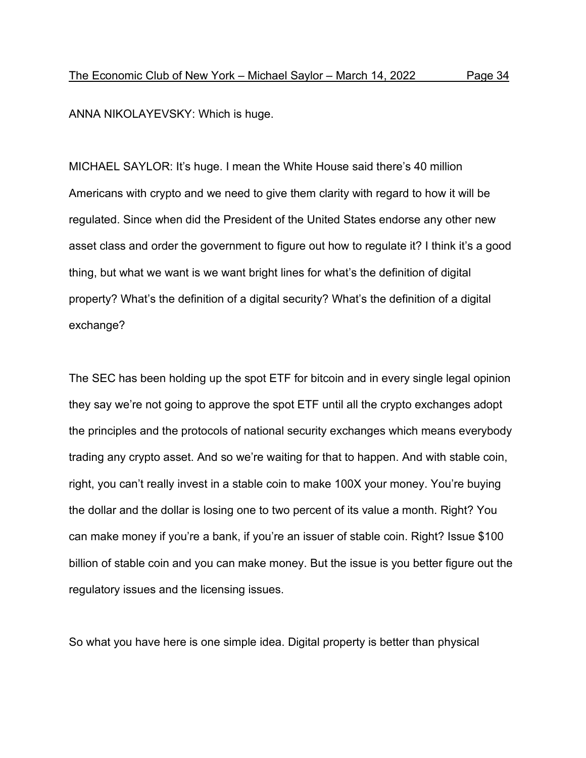ANNA NIKOLAYEVSKY: Which is huge.

MICHAEL SAYLOR: It's huge. I mean the White House said there's 40 million Americans with crypto and we need to give them clarity with regard to how it will be regulated. Since when did the President of the United States endorse any other new asset class and order the government to figure out how to regulate it? I think it's a good thing, but what we want is we want bright lines for what's the definition of digital property? What's the definition of a digital security? What's the definition of a digital exchange?

The SEC has been holding up the spot ETF for bitcoin and in every single legal opinion they say we're not going to approve the spot ETF until all the crypto exchanges adopt the principles and the protocols of national security exchanges which means everybody trading any crypto asset. And so we're waiting for that to happen. And with stable coin, right, you can't really invest in a stable coin to make 100X your money. You're buying the dollar and the dollar is losing one to two percent of its value a month. Right? You can make money if you're a bank, if you're an issuer of stable coin. Right? Issue \$100 billion of stable coin and you can make money. But the issue is you better figure out the regulatory issues and the licensing issues.

So what you have here is one simple idea. Digital property is better than physical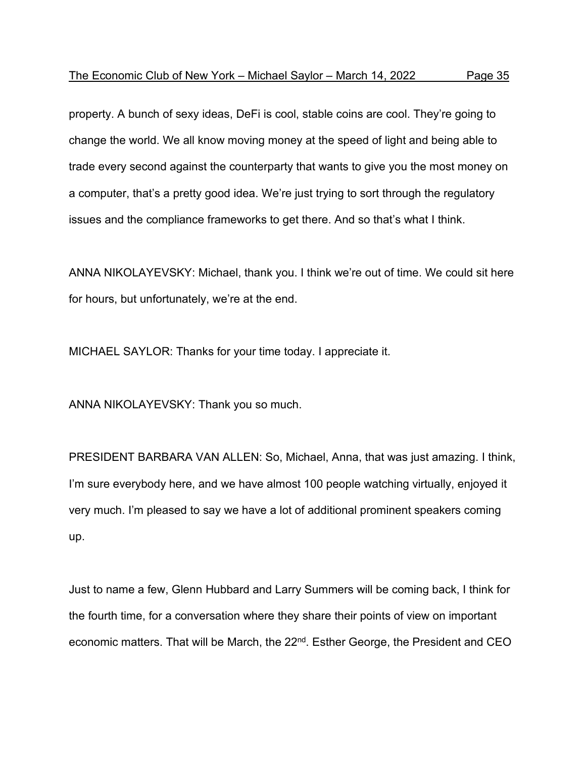property. A bunch of sexy ideas, DeFi is cool, stable coins are cool. They're going to change the world. We all know moving money at the speed of light and being able to trade every second against the counterparty that wants to give you the most money on a computer, that's a pretty good idea. We're just trying to sort through the regulatory issues and the compliance frameworks to get there. And so that's what I think.

ANNA NIKOLAYEVSKY: Michael, thank you. I think we're out of time. We could sit here for hours, but unfortunately, we're at the end.

MICHAEL SAYLOR: Thanks for your time today. I appreciate it.

ANNA NIKOLAYEVSKY: Thank you so much.

PRESIDENT BARBARA VAN ALLEN: So, Michael, Anna, that was just amazing. I think, I'm sure everybody here, and we have almost 100 people watching virtually, enjoyed it very much. I'm pleased to say we have a lot of additional prominent speakers coming up.

Just to name a few, Glenn Hubbard and Larry Summers will be coming back, I think for the fourth time, for a conversation where they share their points of view on important economic matters. That will be March, the 22<sup>nd</sup>. Esther George, the President and CEO